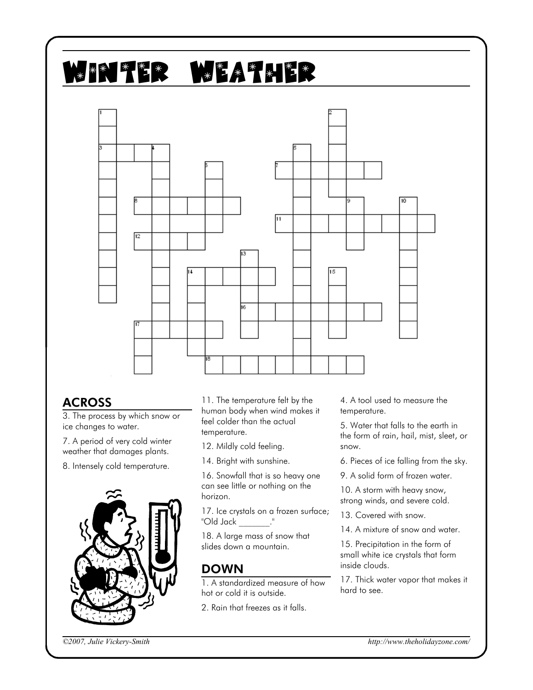## Winter Weather



## ACROSS

3. The process by which snow or ice changes to water.

7. A period of very cold winter weather that damages plants.

8. Intensely cold temperature.



11. The temperature felt by the human body when wind makes it feel colder than the actual temperature.

- 12. Mildly cold feeling.
- 14. Bright with sunshine.

16. Snowfall that is so heavy one can see little or nothing on the horizon.

17. Ice crystals on a frozen surface; "Old Jack \_\_\_\_\_\_\_."

18. A large mass of snow that slides down a mountain.

## DOWN

1. A standardized measure of how hot or cold it is outside.

2. Rain that freezes as it falls.

4. A tool used to measure the temperature.

5. Water that falls to the earth in the form of rain, hail, mist, sleet, or snow.

6. Pieces of ice falling from the sky.

9. A solid form of frozen water.

10. A storm with heavy snow, strong winds, and severe cold.

13. Covered with snow.

14. A mixture of snow and water.

15. Precipitation in the form of small white ice crystals that form inside clouds.

17. Thick water vapor that makes it hard to see.